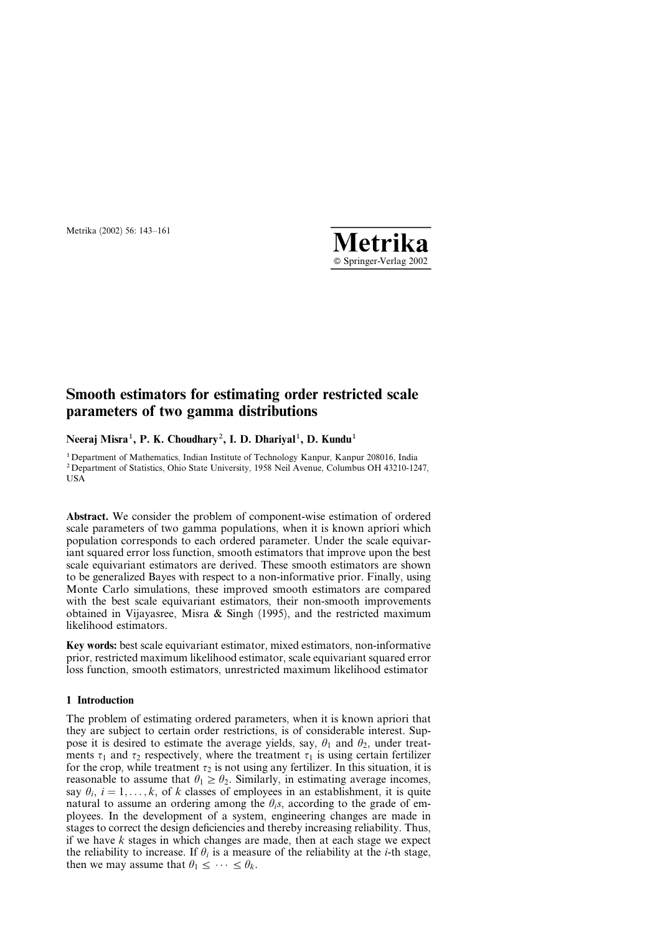

# Smooth estimators for estimating order restricted scale parameters of two gamma distributions

Neeraj Misra<sup>1</sup>, P. K. Choudhary<sup>2</sup>, I. D. Dhariyal<sup>1</sup>, D. Kundu<sup>1</sup>

1Department of Mathematics, Indian Institute of Technology Kanpur, Kanpur 208016, India 2Department of Statistics, Ohio State University, 1958 Neil Avenue, Columbus OH 43210-1247, USA

Abstract. We consider the problem of component-wise estimation of ordered scale parameters of two gamma populations, when it is known apriori which population corresponds to each ordered parameter. Under the scale equivariant squared error loss function, smooth estimators that improve upon the best scale equivariant estimators are derived. These smooth estimators are shown to be generalized Bayes with respect to a non-informative prior. Finally, using Monte Carlo simulations, these improved smooth estimators are compared with the best scale equivariant estimators, their non-smooth improvements obtained in Vijayasree, Misra & Singh (1995), and the restricted maximum likelihood estimators.

Key words: best scale equivariant estimator, mixed estimators, non-informative prior, restricted maximum likelihood estimator, scale equivariant squared error loss function, smooth estimators, unrestricted maximum likelihood estimator

## 1 Introduction

The problem of estimating ordered parameters, when it is known apriori that they are subject to certain order restrictions, is of considerable interest. Suppose it is desired to estimate the average yields, say,  $\theta_1$  and  $\theta_2$ , under treatments  $\tau_1$  and  $\tau_2$  respectively, where the treatment  $\tau_1$  is using certain fertilizer for the crop, while treatment  $\tau_2$  is not using any fertilizer. In this situation, it is reasonable to assume that  $\theta_1 \ge \theta_2$ . Similarly, in estimating average incomes, say  $\theta_i$ ,  $i = 1, \ldots, k$ , of k classes of employees in an establishment, it is quite natural to assume an ordering among the  $\theta_i$ s, according to the grade of employees. In the development of a system, engineering changes are made in stages to correct the design deficiencies and thereby increasing reliability. Thus, if we have  $k$  stages in which changes are made, then at each stage we expect the reliability to increase. If  $\theta_i$  is a measure of the reliability at the *i*-th stage, then we may assume that  $\theta_1 \leq \cdots \leq \theta_k$ .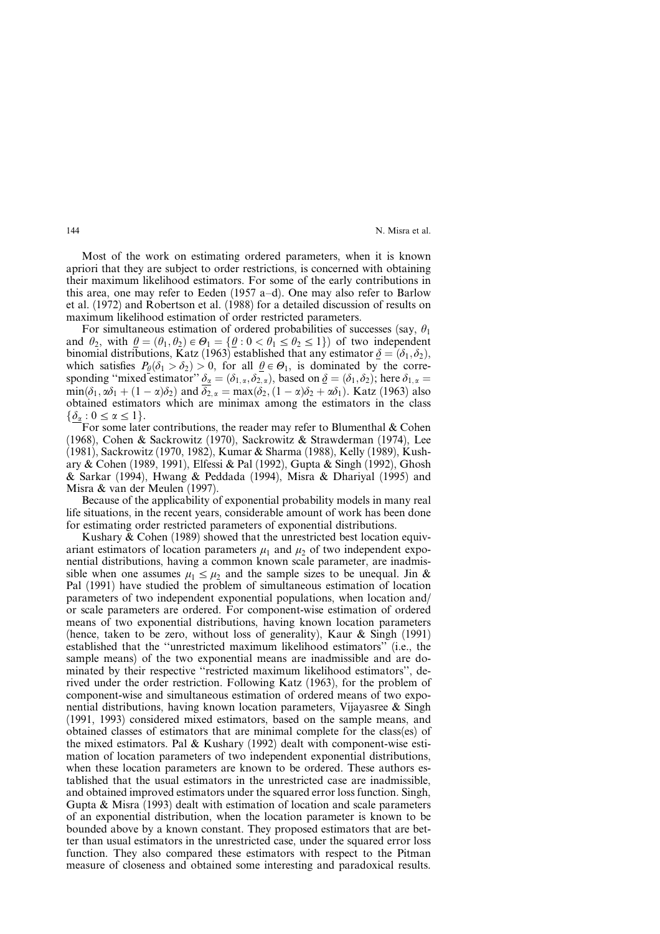Most of the work on estimating ordered parameters, when it is known apriori that they are subject to order restrictions, is concerned with obtaining their maximum likelihood estimators. For some of the early contributions in this area, one may refer to Eeden (1957 a–d). One may also refer to Barlow et al. (1972) and Robertson et al. (1988) for a detailed discussion of results on maximum likelihood estimation of order restricted parameters.

For simultaneous estimation of ordered probabilities of successes (say,  $\theta_1$ ) and  $\theta_2$ , with  $\theta = (\theta_1, \theta_2) \in \Theta_1 = {\theta : 0 < \theta_1 \leq \theta_2 \leq 1}$  of two independent binomial distributions, Katz (1963) established that any estimator  $\delta = (\delta_1, \delta_2)$ , which satisfies  $P_{\theta}(\delta_1 > \delta_2) > 0$ , for all  $\theta \in \Theta_1$ , is dominated by the corresponding "mixed estimator"  $\delta_{\alpha} = (\delta_{1,\alpha}, \delta_{2,\alpha})$ , based on  $\delta = (\delta_1, \delta_2)$ ; here  $\delta_{1,\alpha} =$  $\min(\delta_1, \alpha\delta_1 + (1 - \alpha)\delta_2)$  and  $\overline{\delta_2}_{\alpha} = \max(\delta_2, (1 - \alpha)\delta_2 + \alpha\delta_1)$ . Katz (1963) also obtained estimators which are minimax among the estimators in the class  $\{\delta_\alpha: 0 \leq \alpha \leq 1\}.$ 

For some later contributions, the reader may refer to Blumenthal  $& Cohen$ (1968), Cohen & Sackrowitz (1970), Sackrowitz & Strawderman (1974), Lee (1981), Sackrowitz (1970, 1982), Kumar & Sharma (1988), Kelly (1989), Kushary & Cohen (1989, 1991), Elfessi & Pal (1992), Gupta & Singh (1992), Ghosh & Sarkar (1994), Hwang & Peddada (1994), Misra & Dhariyal (1995) and Misra & van der Meulen (1997).

Because of the applicability of exponential probability models in many real life situations, in the recent years, considerable amount of work has been done for estimating order restricted parameters of exponential distributions.

Kushary & Cohen (1989) showed that the unrestricted best location equivariant estimators of location parameters  $\mu_1$  and  $\mu_2$  of two independent exponential distributions, having a common known scale parameter, are inadmissible when one assumes  $\mu_1 \leq \mu_2$  and the sample sizes to be unequal. Jin & Pal (1991) have studied the problem of simultaneous estimation of location parameters of two independent exponential populations, when location and/ or scale parameters are ordered. For component-wise estimation of ordered means of two exponential distributions, having known location parameters (hence, taken to be zero, without loss of generality), Kaur & Singh (1991) established that the ''unrestricted maximum likelihood estimators'' (i.e., the sample means) of the two exponential means are inadmissible and are dominated by their respective ''restricted maximum likelihood estimators'', derived under the order restriction. Following Katz (1963), for the problem of component-wise and simultaneous estimation of ordered means of two exponential distributions, having known location parameters, Vijayasree & Singh (1991, 1993) considered mixed estimators, based on the sample means, and obtained classes of estimators that are minimal complete for the class(es) of the mixed estimators. Pal & Kushary (1992) dealt with component-wise estimation of location parameters of two independent exponential distributions, when these location parameters are known to be ordered. These authors established that the usual estimators in the unrestricted case are inadmissible, and obtained improved estimators under the squared error loss function. Singh, Gupta & Misra (1993) dealt with estimation of location and scale parameters of an exponential distribution, when the location parameter is known to be bounded above by a known constant. They proposed estimators that are better than usual estimators in the unrestricted case, under the squared error loss function. They also compared these estimators with respect to the Pitman measure of closeness and obtained some interesting and paradoxical results.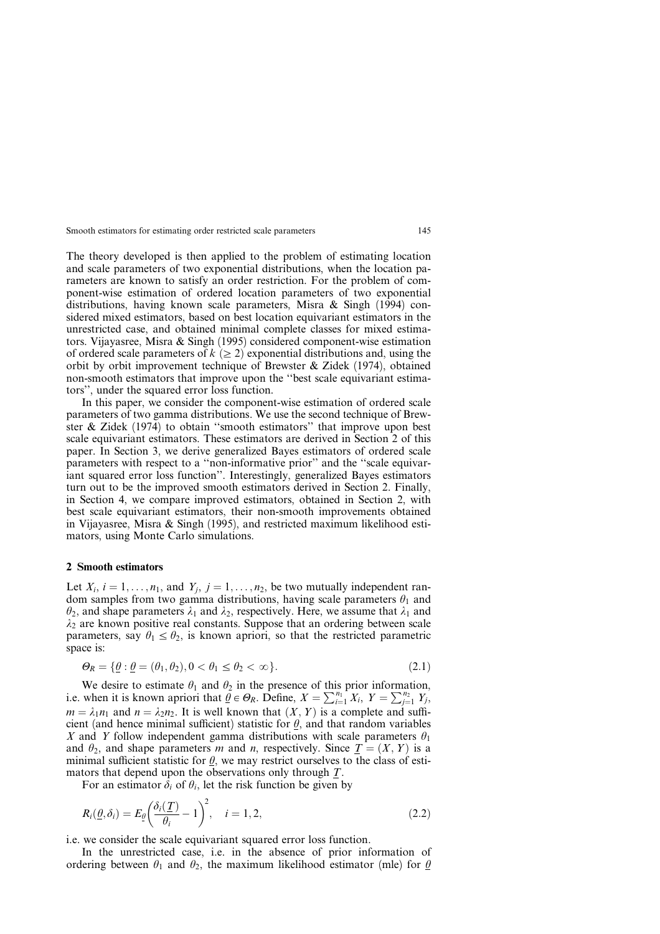The theory developed is then applied to the problem of estimating location and scale parameters of two exponential distributions, when the location parameters are known to satisfy an order restriction. For the problem of component-wise estimation of ordered location parameters of two exponential distributions, having known scale parameters, Misra  $\&$  Singh (1994) considered mixed estimators, based on best location equivariant estimators in the unrestricted case, and obtained minimal complete classes for mixed estimators. Vijayasree, Misra & Singh (1995) considered component-wise estimation of ordered scale parameters of  $k \geq 2$  exponential distributions and, using the orbit by orbit improvement technique of Brewster & Zidek (1974), obtained non-smooth estimators that improve upon the ''best scale equivariant estimators'', under the squared error loss function.

In this paper, we consider the component-wise estimation of ordered scale parameters of two gamma distributions. We use the second technique of Brewster & Zidek (1974) to obtain ''smooth estimators'' that improve upon best scale equivariant estimators. These estimators are derived in Section 2 of this paper. In Section 3, we derive generalized Bayes estimators of ordered scale parameters with respect to a ''non-informative prior'' and the ''scale equivariant squared error loss function''. Interestingly, generalized Bayes estimators turn out to be the improved smooth estimators derived in Section 2. Finally, in Section 4, we compare improved estimators, obtained in Section 2, with best scale equivariant estimators, their non-smooth improvements obtained in Vijayasree, Misra & Singh (1995), and restricted maximum likelihood estimators, using Monte Carlo simulations.

#### 2 Smooth estimators

Let  $X_i$ ,  $i = 1, \ldots, n_1$ , and  $Y_i$ ,  $j = 1, \ldots, n_2$ , be two mutually independent random samples from two gamma distributions, having scale parameters  $\theta_1$  and  $\theta_2$ , and shape parameters  $\lambda_1$  and  $\lambda_2$ , respectively. Here, we assume that  $\lambda_1$  and  $\lambda_2$  are known positive real constants. Suppose that an ordering between scale parameters, say  $\theta_1 \leq \theta_2$ , is known apriori, so that the restricted parametric space is:

$$
\Theta_R = \{ \underline{\theta} : \underline{\theta} = (\theta_1, \theta_2), 0 < \theta_1 \le \theta_2 < \infty \}. \tag{2.1}
$$

We desire to estimate  $\theta_1$  and  $\theta_2$  in the presence of this prior information, i.e. when it is known apriori that  $\theta \in \Theta_R$ . Define,  $X = \sum_{i=1}^{n_1} X_i$ ,  $Y = \sum_{j=1}^{n_2} Y_j$ ,  $m = \lambda_1 n_1$  and  $n = \lambda_2 n_2$ . It is well known that  $(X, Y)$  is a complete and sufficient (and hence minimal sufficient) statistic for  $\theta$ , and that random variables X and Y follow independent gamma distributions with scale parameters  $\theta_1$ and  $\theta_2$ , and shape parameters m and n, respectively. Since  $T = (X, Y)$  is a minimal sufficient statistic for  $\theta$ , we may restrict ourselves to the class of estimators that depend upon the observations only through  $T$ .

For an estimator  $\delta_i$  of  $\theta_i$ , let the risk function be given by

$$
R_i(\underline{\theta}, \delta_i) = E_{\underline{\theta}} \left( \frac{\delta_i(\underline{T})}{\theta_i} - 1 \right)^2, \quad i = 1, 2,
$$
\n(2.2)

i.e. we consider the scale equivariant squared error loss function.

In the unrestricted case, i.e. in the absence of prior information of ordering between  $\theta_1$  and  $\theta_2$ , the maximum likelihood estimator (mle) for  $\theta$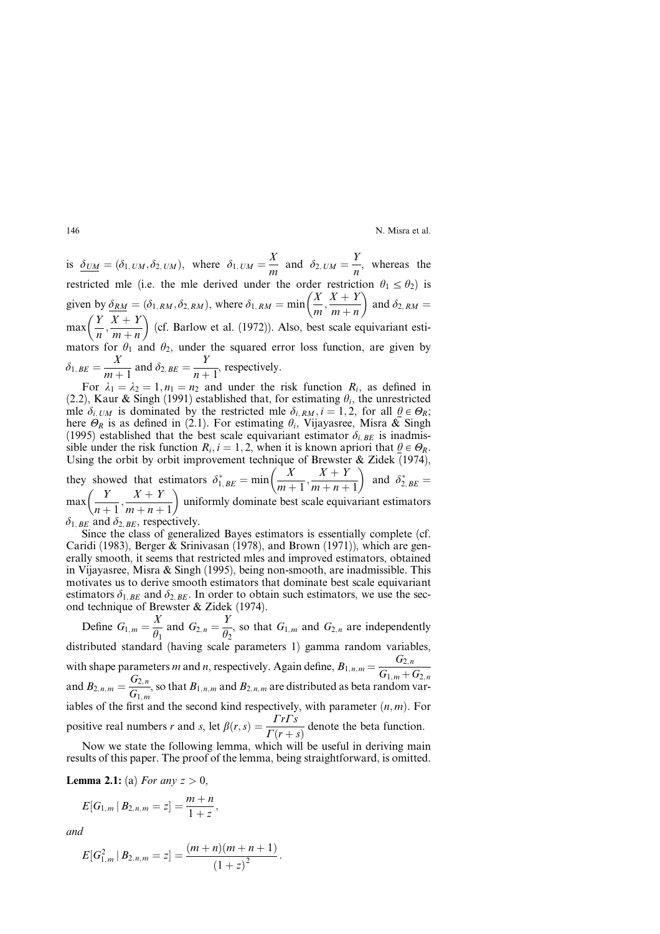is  $\delta_{UM} = (\delta_{1,UM}, \delta_{2,UM})$ , where  $\delta_{1,UM} = \frac{X}{m}$  and  $\delta_{2,UM} = \frac{Y}{n}$ , whereas the restricted mle (i.e. the mle derived under the order restriction  $\theta_1 \le \theta_2$ ) is given by  $\delta_{RM} = (\delta_{1, RM}, \delta_{2, RM})$ , where  $\delta_{1, RM} = \min\left(\frac{X}{m}, \frac{X+Y}{m+n}\right)$  $m + n$  $(Y \ Y \perp Y)$ and  $\delta_{2, RM} =$  $\max\left(\frac{Y}{n}, \frac{X+Y}{m+n}\right)$  $m + n$  $\sqrt{V}$   $\sqrt{V}$   $\sqrt{V}$ (cf. Barlow et al. (1972)). Also, best scale equivariant estimators for  $\theta_1$  and  $\theta_2$ , under the squared error loss function, are given by  $\delta_{1, BE} = \frac{X}{m+1}$  and  $\delta_{2, BE} = \frac{Y}{n+1}$ , respectively.

For  $\lambda_1 = \lambda_2 = 1, n_1 = n_2$  and under the risk function  $R_i$ , as defined in (2.2), Kaur & Singh (1991) established that, for estimating  $\theta_i$ , the unrestricted mle  $\delta_{i,UM}$  is dominated by the restricted mle  $\delta_{i,RM}$ ,  $i = 1, 2$ , for all  $\theta \in \Theta_R$ ; here  $\Theta_R$  is as defined in (2.1). For estimating  $\theta_i$ , Vijayasree, Misra & Singh (1995) established that the best scale equivariant estimator  $\delta_{i,BE}$  is inadmissible under the risk function  $R_i$ ,  $i = 1, 2$ , when it is known apriori that  $\theta \in \Theta_R$ . Using the orbit by orbit improvement technique of Brewster & Zidek (1974), they showed that estimators  $\delta_{1, BE}^* = \min\left(\frac{X}{m+1}, \frac{X+Y}{m+n+1}\right)$  $m+1$ ' $m+n+1$ and  $\delta_{2, BE}^* =$  $max\left(\frac{Y}{X}\right)$  $\frac{Y}{n+1}, \frac{X+Y}{m+n+1}$  $(Y \ Y \pm V)$ uniformly dominate best scale equivariant estimators

 $\delta_{1,BE}$  and  $\delta_{2,BE}$ , respectively.

Since the class of generalized Bayes estimators is essentially complete (cf. Caridi (1983), Berger & Srinivasan (1978), and Brown (1971)), which are generally smooth, it seems that restricted mles and improved estimators, obtained in Vijayasree, Misra & Singh (1995), being non-smooth, are inadmissible. This motivates us to derive smooth estimators that dominate best scale equivariant estimators  $\delta_{1,BE}$  and  $\delta_{2,BE}$ . In order to obtain such estimators, we use the second technique of Brewster & Zidek (1974).

Define  $G_{1,m} = \frac{X}{\theta_1}$  and  $G_{2,n} = \frac{Y}{\theta_2}$ , so that  $G_{1,m}$  and  $G_{2,n}$  are independently distributed standard (having scale parameters 1) gamma random variables, with shape parameters *m* and *n*, respectively. Again define,  $B_{1,n,m} = \frac{G_{2,n}}{G_{1,m} + G_{2,n}}$ and  $B_{2,n,m} = \frac{G_{2,n}}{G_{1,m}}$ , so that  $B_{1,n,m}$  and  $B_{2,n,m}$  are distributed as beta random variables of the first and the second kind respectively, with parameter  $(n, m)$ . For positive real numbers r and s, let  $\beta(r,s) = \frac{\Gamma r \Gamma s}{\Gamma(r+s)}$  denote the beta function.

Now we state the following lemma, which will be useful in deriving main results of this paper. The proof of the lemma, being straightforward, is omitted.

**Lemma 2.1:** (a) For any  $z > 0$ ,

$$
E[G_{1,m} | B_{2,n,m} = z] = \frac{m+n}{1+z},
$$

and

$$
E[G_{1,m}^2 | B_{2,n,m} = z] = \frac{(m+n)(m+n+1)}{(1+z)^2}.
$$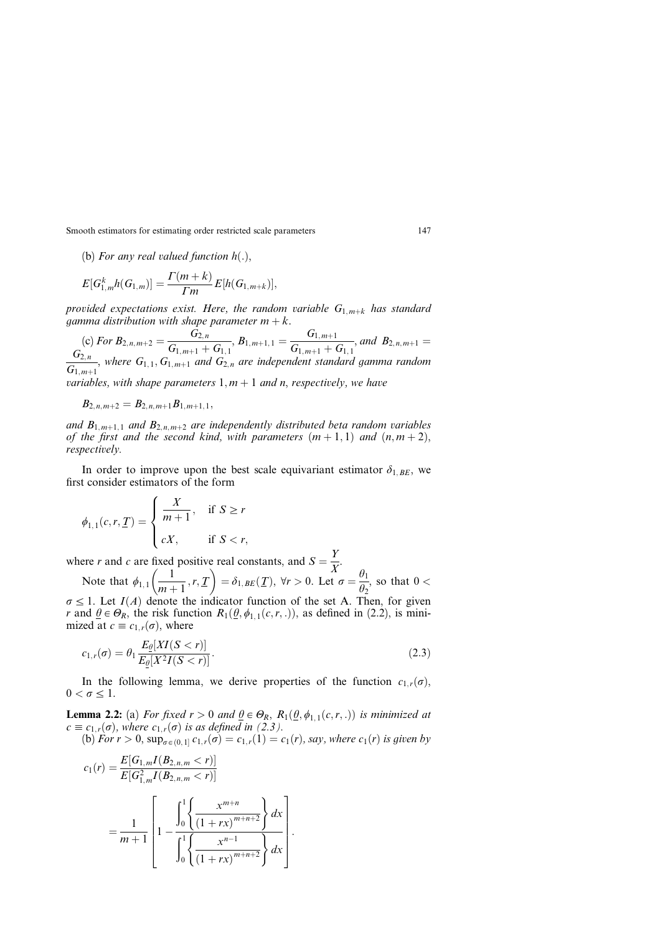(b) For any real valued function  $h(.)$ ,

$$
E[G_{1,m}^k h(G_{1,m})] = \frac{\Gamma(m+k)}{\Gamma m} E[h(G_{1,m+k})],
$$

provided expectations exist. Here, the random variable  $G_{1,m+k}$  has standard gamma distribution with shape parameter  $m + k$ .

(c) For  $B_{2,n,m+2} = \frac{G_{2,n}}{G_{1,m+1} + G_{1,1}}$ ,  $B_{1,m+1,1} = \frac{G_{1,m+1}}{G_{1,m+1} + G_{1,1}}$ , and  $B_{2,n,m+1} =$  $G_{2,n}$  $\overline{G_{2,n}\over G_{1,m+1}}$ , where  $G_{1,1}, G_{1,m+1}$  and  $G_{2,n}$  are independent standard gamma random variables, with shape parameters  $1, m + 1$  and n, respectively, we have

$$
B_{2,n,m+2}=B_{2,n,m+1}B_{1,m+1,1},\\
$$

and  $B_{1,m+1,1}$  and  $B_{2,n,m+2}$  are independently distributed beta random variables of the first and the second kind, with parameters  $(m + 1, 1)$  and  $(n, m + 2)$ , respectively.

In order to improve upon the best scale equivariant estimator  $\delta_{1,BE}$ , we first consider estimators of the form

$$
\phi_{1,1}(c,r,\underline{T}) = \begin{cases} \frac{X}{m+1}, & \text{if } S \ge r \\ cX, & \text{if } S < r, \end{cases}
$$

where r and c are fixed positive real constants, and  $S = \frac{Y}{X}$ .

Note that  $\phi_{1,1} \left( \frac{1}{m+1} \right)$  $\frac{r}{m+1}, r, \frac{T}{m+1}$  $\left(\frac{1}{m+1}, r, \underline{T}\right) = \delta_{1, BE}(\underline{T}), \forall r > 0.$  Let  $\sigma = \frac{\theta_1}{\theta_2}$ , so that  $0 <$  $\sigma \leq 1$ . Let  $I(A)$  denote the indicator function of the set A. Then, for given r and  $\theta \in \Theta_R$ , the risk function  $R_1(\theta, \phi_{1,1}(c,r, .))$ , as defined in (2.2), is minimized at  $c \equiv c_{1,r}(\sigma)$ , where

$$
c_{1,r}(\sigma) = \theta_1 \frac{E_{\underline{\theta}}[XI(S < r)]}{E_{\underline{\theta}}[X^2I(S < r)]}.
$$
\n(2.3)

In the following lemma, we derive properties of the function  $c_{1,r}(\sigma)$ ,  $0 < \sigma \leq 1$ .

**Lemma 2.2:** (a) For fixed  $r > 0$  and  $\theta \in \Theta_R$ ,  $R_1(\theta, \phi_{1,1}(c, r, .))$  is minimized at  $c \equiv c_{1,r}(\sigma)$ , where  $c_{1,r}(\sigma)$  is as defined in (2.3). (b) For  $r > 0$ ,  $\sup_{\sigma \in (0,1]} c_{1,r}(\sigma) = c_{1,r}(1) = c_1(r)$ , say, where  $c_1(r)$  is given by

$$
c_1(r) = \frac{E[G_{1,m}I(B_{2,n,m} < r)]}{E[G_{1,m}^2I(B_{2,n,m} < r)]}
$$
  
= 
$$
\frac{1}{m+1} \left[ 1 - \frac{\int_0^1 \left\{ \frac{x^{m+n}}{(1+rx)^{m+n+2}} \right\} dx}{\int_0^1 \left\{ \frac{x^{n-1}}{(1+rx)^{m+n+2}} \right\} dx} \right].
$$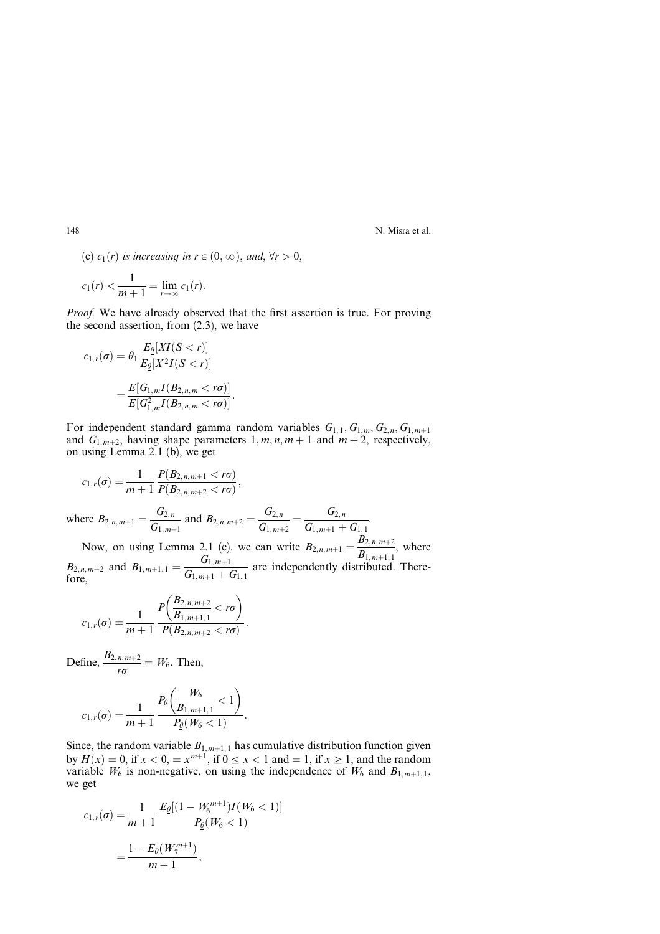(c)  $c_1(r)$  is increasing in  $r \in (0, \infty)$ , and,  $\forall r > 0$ ,

$$
c_1(r) < \frac{1}{m+1} = \lim_{r \to \infty} c_1(r).
$$

*Proof.* We have already observed that the first assertion is true. For proving the second assertion, from (2.3), we have

$$
c_{1,r}(\sigma) = \theta_1 \frac{E_{\underline{\theta}}[XI(S < r)]}{E_{\underline{\theta}}[X^2I(S < r)]}
$$
  
= 
$$
\frac{E[G_{1,m}I(B_{2,n,m} < r\sigma)]}{E[G_{1,m}^2I(B_{2,n,m} < r\sigma)]}.
$$

For independent standard gamma random variables  $G_{1,1}, G_{1,m}, G_{2,n}, G_{1,m+1}$ and  $G_{1,m+2}$ , having shape parameters  $1, m, n, m + 1$  and  $m + 2$ , respectively, on using Lemma 2.1 (b), we get

$$
c_{1,r}(\sigma) = \frac{1}{m+1} \frac{P(B_{2,n,m+1} < r\sigma)}{P(B_{2,n,m+2} < r\sigma)},
$$

where  $B_{2,n,m+1} = \frac{G_{2,n}}{G_{1,m+1}}$  and  $B_{2,n,m+2} = \frac{G_{2,n}}{G_{1,m+2}} = \frac{G_{2,n}}{G_{1,m+1} + G_{1,1}}$ .

Now, on using Lemma 2.1 (c), we can write  $B_{2,n,m+1} = \frac{B_{2,n,m+2}}{B_{1,m+1,1}}$ , where  $B_{2,n,m+2}$  and  $B_{1,m+1,1} = \frac{G_{1,m+1}}{G_{1,m+1} + G_{1,1}}$  are independently distributed. Therefore,

$$
c_{1,r}(\sigma) = \frac{1}{m+1} \frac{P\left(\frac{B_{2,n,m+2}}{B_{1,m+1,1}} < r\sigma\right)}{P(B_{2,n,m+2} < r\sigma)}.
$$

Define,  $\frac{B_{2,n,m+2}}{r\sigma} = W_6$ . Then,

$$
c_{1,r}(\sigma) = \frac{1}{m+1} \frac{P_{\underline{\theta}}\left(\frac{W_6}{B_{1,m+1,1}} < 1\right)}{P_{\underline{\theta}}(W_6 < 1)}.
$$

Since, the random variable  $B_{1,m+1,1}$  has cumulative distribution function given by  $H(x) = 0$ , if  $x < 0$ ,  $x = x^{m+1}$ , if  $0 \le x < 1$  and  $x \ge 1$ , and the random variable  $W_6$  is non-negative, on using the independence of  $W_6$  and  $B_{1,m+1,1}$ , we get

$$
c_{1,r}(\sigma) = \frac{1}{m+1} \frac{E_{\underline{\theta}}[(1 - W_6^{m+1})I(W_6 < 1)]}{P_{\underline{\theta}}(W_6 < 1)}
$$

$$
= \frac{1 - E_{\underline{\theta}}(W_7^{m+1})}{m+1},
$$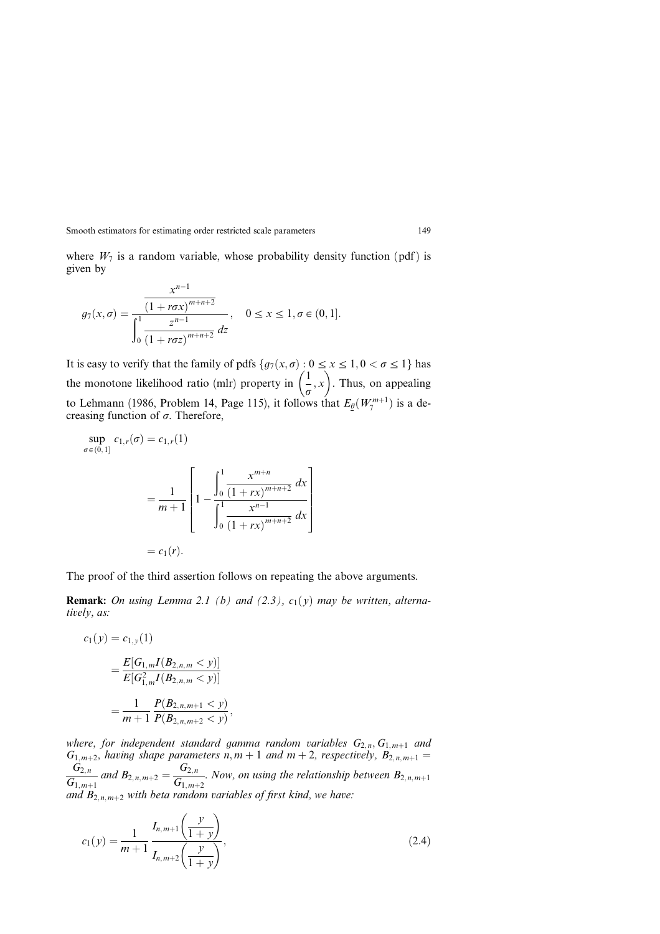where  $W_7$  is a random variable, whose probability density function (pdf) is given by

$$
g_7(x, \sigma) = \frac{x^{n-1}}{\int_0^1 \frac{z^{n-1}}{(1 + r\sigma z)^{m+n+2}}}, \quad 0 \le x \le 1, \sigma \in (0, 1].
$$

It is easy to verify that the family of pdfs  $\{q_7(x, \sigma): 0 \le x \le 1, 0 < \sigma \le 1\}$  has the monotone likelihood ratio (mlr) property in  $\left(\frac{1}{\sigma}, x\right)$  $\frac{1}{1}$   $\frac{1}{1}$ . Thus, on appealing to Lehmann (1986, Problem 14, Page 115), it follows that  $E_{\theta}(W_{7}^{m+1})$  is a decreasing function of  $\sigma$ . Therefore,

$$
\sup_{\sigma \in (0,1]} c_{1,r}(\sigma) = c_{1,r}(1)
$$
  
= 
$$
\frac{1}{m+1} \left[ 1 - \frac{\int_0^1 \frac{x^{m+n}}{(1+rx)^{m+n+2}} dx}{\int_0^1 \frac{x^{n-1}}{(1+rx)^{m+n+2}} dx} \right]
$$
  
=  $c_1(r)$ .

The proof of the third assertion follows on repeating the above arguments.

**Remark:** On using Lemma 2.1 (b) and (2.3),  $c_1(y)$  may be written, alternatively, as:

$$
c_1(y) = c_{1,y}(1)
$$
  
= 
$$
\frac{E[G_{1,m}I(B_{2,n,m} < y)]}{E[G_{1,m}^2I(B_{2,n,m} < y)]}
$$
  
= 
$$
\frac{1}{m+1} \frac{P(B_{2,n,m+1} < y)}{P(B_{2,n,m+2} < y)},
$$

where, for independent standard gamma random variables  $G_{2,n}, G_{1,m+1}$  and  $G_{1,m+2}$ , having shape parameters n, m + 1 and m + 2, respectively,  $B_{2,n,m+1} =$  $G_{2,n}$  $\frac{G_{2,n}}{G_{1,m+1}}$  and  $B_{2,n,m+2} = \frac{G_{2,n}}{G_{1,m+2}}$ . Now, on using the relationship between  $B_{2,n,m+1}$ and  $B_{2,n,m+2}$  with beta random variables of first kind, we have:

$$
c_1(y) = \frac{1}{m+1} \frac{I_{n,m+1}\left(\frac{y}{1+y}\right)}{I_{n,m+2}\left(\frac{y}{1+y}\right)},
$$
\n(2.4)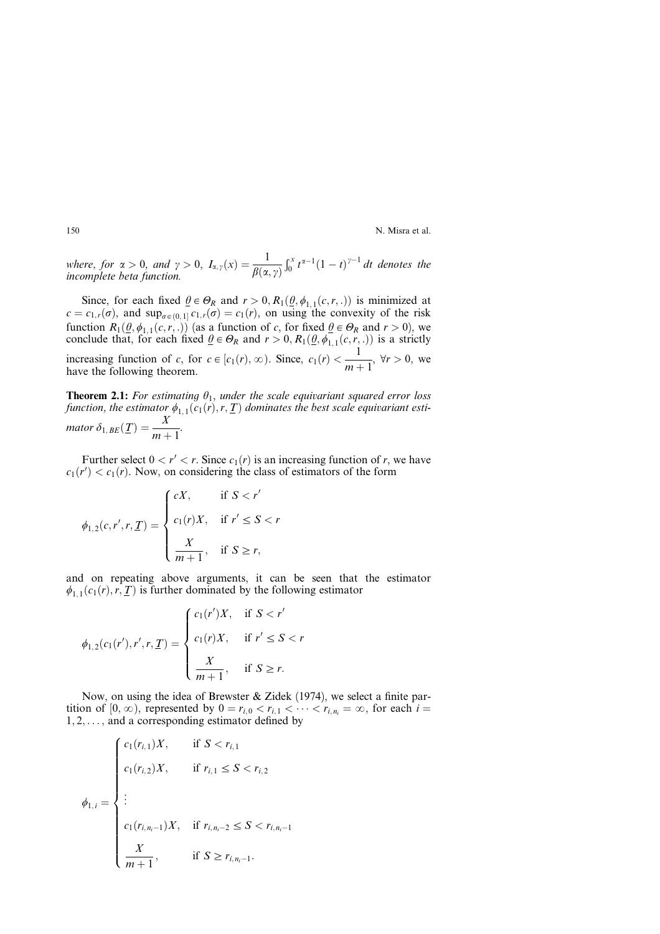where, for  $\alpha > 0$ , and  $\gamma > 0$ ,  $I_{\alpha,\gamma}(x) = \frac{1}{\beta(\alpha,\gamma)}$  $\int_0^x t^{\alpha-1}(1-t)^{\gamma-1} dt$  denotes the incomplete beta function.

Since, for each fixed  $\theta \in \Theta_R$  and  $r > 0$ ,  $R_1(\theta, \phi_{1,1}(c,r, .))$  is minimized at  $c = c_{1,r}(\sigma)$ , and sup<sub> $\sigma \in (0, 1]$ </sub>  $c_{1,r}(\sigma) = c_1(r)$ , on using the convexity of the risk function  $R_1(\underline{\theta}, \phi_{1,1}(c, r, .))$  (as a function of c, for fixed  $\underline{\theta} \in \Theta_R$  and  $r > 0$ ), we conclude that, for each fixed  $\underline{\theta} \in \Theta_R$  and  $r > 0$ ,  $R_1(\underline{\theta}, \overline{\phi}_{1,1}(c, r, .))$  is a strictly increasing function of c, for  $c \in [c_1(r), \infty)$ . Since,  $c_1(r) < \frac{1}{m}$  $\frac{1}{m+1}$ ,  $\forall r > 0$ , we have the following theorem.

**Theorem 2.1:** For estimating  $\theta_1$ , under the scale equivariant squared error loss function, the estimator  $\phi_{1,1}(c_1(r), r, T)$  dominates the best scale equivariant estimator  $\delta_{1, BE}(\underline{T}) = \frac{X}{m+1}.$ 

Further select  $0 < r' < r$ . Since  $c_1(r)$  is an increasing function of r, we have  $c_1(r') < c_1(r)$ . Now, on considering the class of estimators of the form

$$
\phi_{1,2}(c,r',r,\underline{T}) = \begin{cases} cX, & \text{if } S < r' \\ c_1(r)X, & \text{if } r' \le S < r \\ \frac{X}{m+1}, & \text{if } S \ge r, \end{cases}
$$

and on repeating above arguments, it can be seen that the estimator  $\phi_{1,1}(c_1(r), r, T)$  is further dominated by the following estimator

$$
\phi_{1,2}(c_1(r'), r', r, \underline{T}) = \begin{cases} c_1(r')X, & \text{if } S < r' \\ c_1(r)X, & \text{if } r' \le S < r \\ \frac{X}{m+1}, & \text{if } S \ge r. \end{cases}
$$

Now, on using the idea of Brewster & Zidek (1974), we select a finite partition of  $[0, \infty)$ , represented by  $0 = r_{i,0} < r_{i,1} < \cdots < r_{i,n_i} = \infty$ , for each  $i =$  $1, 2, \ldots$ , and a corresponding estimator defined by

$$
\phi_{1,i} = \begin{cases}\nc_1(r_{i,1})X, & \text{if } S < r_{i,1} \\
c_1(r_{i,2})X, & \text{if } r_{i,1} \leq S < r_{i,2} \\
\vdots & \\
c_1(r_{i,n_i-1})X, & \text{if } r_{i,n_i-2} \leq S < r_{i,n_i-1} \\
\frac{X}{m+1}, & \text{if } S \geq r_{i,n_i-1}.\n\end{cases}
$$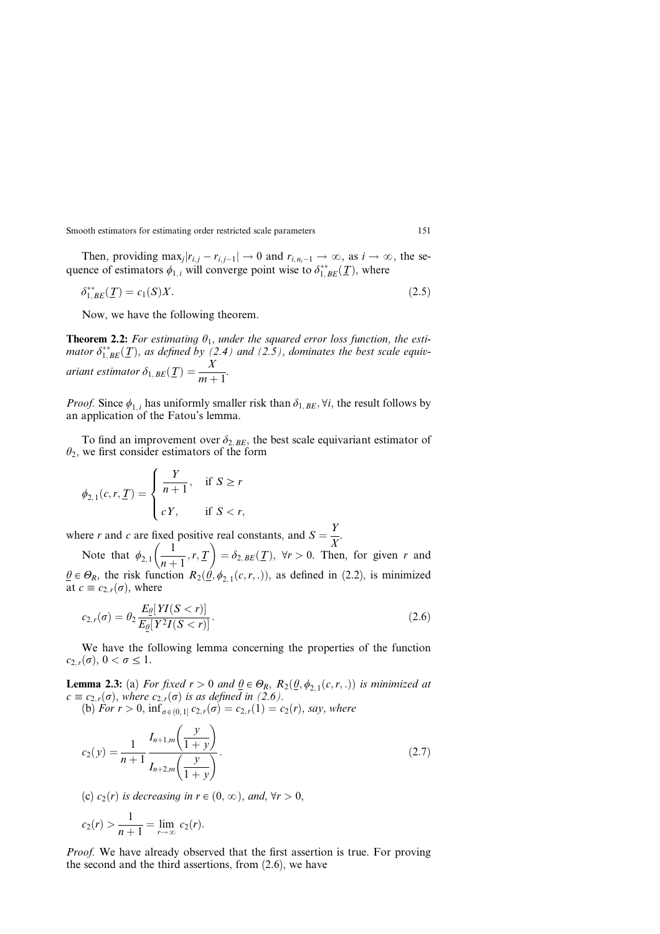Then, providing  $\max_i |r_{i,i} - r_{i,i-1}| \to 0$  and  $r_{i,n-1} \to \infty$ , as  $i \to \infty$ , the sequence of estimators  $\phi_{1,i}$  will converge point wise to  $\delta^{**}_{1,BE}(\mathcal{I})$ , where

$$
\delta_{1,BE}^{**}(T) = c_1(S)X. \tag{2.5}
$$

Now, we have the following theorem.

**Theorem 2.2:** For estimating  $\theta_1$ , under the squared error loss function, the estimator  $\delta^{**}_{1,BE}(\underline{T})$ , as defined by (2.4) and (2.5), dominates the best scale equivariant estimator  $\delta_{1, BE}(\underline{T}) = \frac{X}{m+1}$ .

*Proof.* Since  $\phi_{1,i}$  has uniformly smaller risk than  $\delta_{1,BE}$ ,  $\forall i$ , the result follows by an application of the Fatou's lemma.

To find an improvement over  $\delta_{2,BE}$ , the best scale equivariant estimator of  $\theta_2$ , we first consider estimators of the form

$$
\phi_{2,1}(c,r,\underline{T}) = \begin{cases} \frac{Y}{n+1}, & \text{if } S \geq r \\ cY, & \text{if } S < r, \end{cases}
$$

where r and c are fixed positive real constants, and  $S = \frac{Y}{X}$ .  $\frac{1}{2}$  -  $\frac{1}{2}$ 

Note that  $\phi_{2,1} \left( \frac{1}{n+1} \right)$  $\frac{r}{n+1}, r, T$  $=\delta_{2, BE}(\underline{T})$ ,  $\forall r > 0$ . Then, for given r and  $\hat{\theta} \in \Theta_R$ , the risk function  $R_2(\hat{\theta}, \phi_{2,1}(c,r, .))$ , as defined in (2.2), is minimized at  $c\equiv c_{2,r}(\sigma)$ , where

$$
c_{2,r}(\sigma) = \theta_2 \frac{E_{\theta}[YI(S < r)]}{E_{\theta}[Y^2I(S < r)]}.
$$
\n(2.6)

We have the following lemma concerning the properties of the function  $c_{2,r}(\sigma)$ ,  $0 < \sigma \leq 1$ .

**Lemma 2.3:** (a) For fixed  $r > 0$  and  $\theta \in \Theta_R$ ,  $R_2(\theta, \phi_{2,1}(c,r, .))$  is minimized at  $c \equiv c_{2,r}(\sigma)$ , where  $c_{2,r}(\sigma)$  is as defined in (2.6). (b) For  $r > 0$ ,  $\inf_{\sigma \in (0,1]} c_{2,r}(\sigma) = c_{2,r}(1) = c_2(r)$ , say, where

$$
c_2(y) = \frac{1}{n+1} \frac{I_{n+1,m}\left(\frac{y}{1+y}\right)}{I_{n+2,m}\left(\frac{y}{1+y}\right)}.
$$
\n(2.7)

(c)  $c_2(r)$  is decreasing in  $r \in (0, \infty)$ , and,  $\forall r > 0$ ,

$$
c_2(r) > \frac{1}{n+1} = \lim_{r \to \infty} c_2(r).
$$

*Proof.* We have already observed that the first assertion is true. For proving the second and the third assertions, from (2.6), we have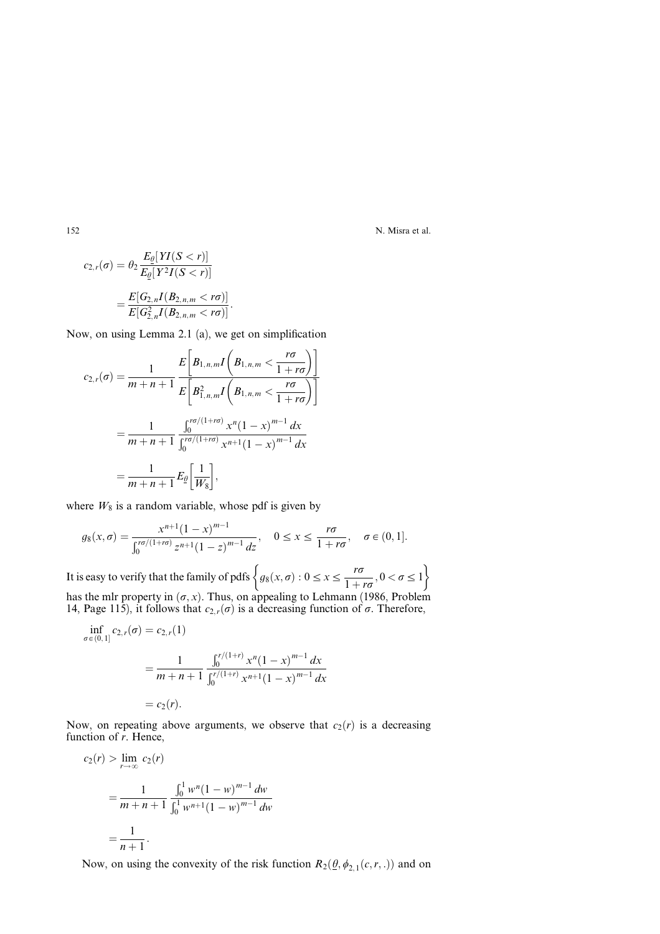$$
c_{2,r}(\sigma) = \theta_2 \frac{E_{\theta}[YI(S < r)]}{E_{\theta}[Y^2I(S < r)]}
$$
  
= 
$$
\frac{E[G_{2,n}I(B_{2,n,m} < r\sigma)]}{E[G_{2,n}^2I(B_{2,n,m} < r\sigma)]}.
$$

Now, on using Lemma 2.1 (a), we get on simplification

$$
c_{2,r}(\sigma) = \frac{1}{m+n+1} \frac{E\left[B_{1,n,m}I\left(B_{1,n,m} < \frac{r\sigma}{1+r\sigma}\right)\right]}{E\left[B_{1,n,m}^2I\left(B_{1,n,m} < \frac{r\sigma}{1+r\sigma}\right)\right]}
$$
\n
$$
= \frac{1}{m+n+1} \frac{\int_0^{r\sigma/(1+r\sigma)} x^n (1-x)^{m-1} dx}{\int_0^{r\sigma/(1+r\sigma)} x^{n+1} (1-x)^{m-1} dx}
$$
\n
$$
= \frac{1}{m+n+1} E_{\underline{\theta}}\left[\frac{1}{W_8}\right],
$$

where  $W_8$  is a random variable, whose pdf is given by

$$
g_8(x, \sigma) = \frac{x^{n+1}(1-x)^{m-1}}{\int_0^{r\sigma/(1+r\sigma)} z^{n+1}(1-z)^{m-1} dz}, \quad 0 \le x \le \frac{r\sigma}{1+r\sigma}, \quad \sigma \in (0,1].
$$

It is easy to verify that the family of pdfs  $\left\{g_8(x, \sigma) : 0 \le x \le \frac{r\sigma}{1+r\sigma}, 0 < \sigma \le 1 \right\}$  $r_{\sigma}$  ) has the mlr property in  $(\sigma, x)$ . Thus, on appealing to Lehmann (1986, Problem 14, Page 115), it follows that  $c_{2,r}(\sigma)$  is a decreasing function of  $\sigma$ . Therefore,

$$
\inf_{\sigma \in (0,1]} c_{2,r}(\sigma) = c_{2,r}(1)
$$
\n
$$
= \frac{1}{m+n+1} \frac{\int_0^{r/(1+r)} x^n (1-x)^{m-1} dx}{\int_0^{r/(1+r)} x^{n+1} (1-x)^{m-1} dx}
$$
\n
$$
= c_2(r).
$$

Now, on repeating above arguments, we observe that  $c_2(r)$  is a decreasing function of *r*. Hence,

$$
c_2(r) > \lim_{r \to \infty} c_2(r)
$$
  
= 
$$
\frac{1}{m+n+1} \frac{\int_0^1 w^n (1-w)^{m-1} dw}{\int_0^1 w^{n+1} (1-w)^{m-1} dw}
$$
  
= 
$$
\frac{1}{n+1}.
$$

Now, on using the convexity of the risk function  $R_2(\underline{\theta}, \phi_{2,1}(c, r, .))$  and on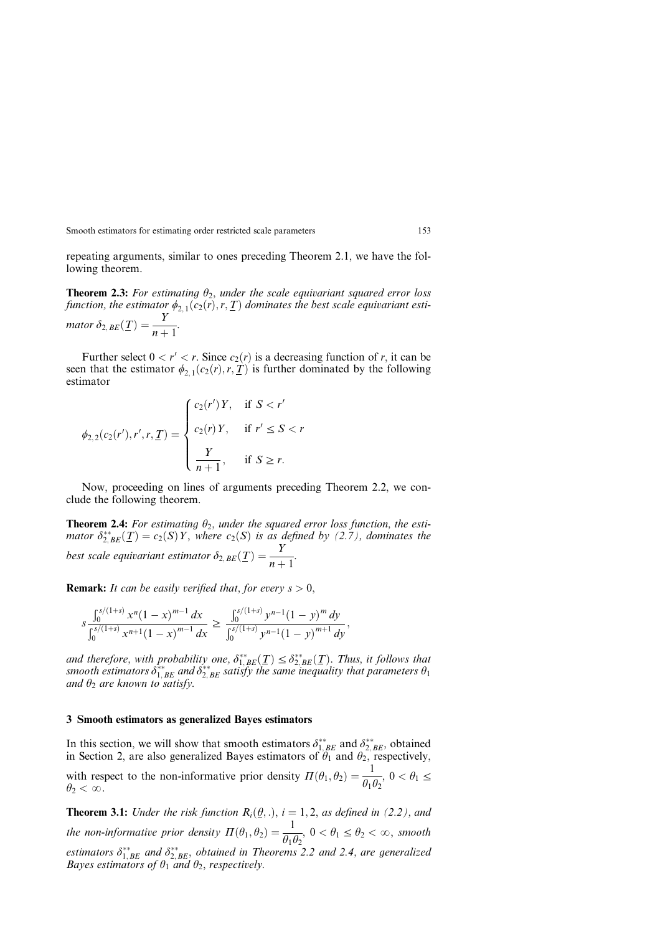repeating arguments, similar to ones preceding Theorem 2.1, we have the following theorem.

**Theorem 2.3:** For estimating  $\theta_2$ , under the scale equivariant squared error loss function, the estimator  $\phi_{2,1}(c_2(\vec{r}),r,\underline{T})$  dominates the best scale equivariant estimator  $\delta_{2, BE}(\underline{T}) = \frac{Y}{n+1}.$ 

Further select  $0 < r' < r$ . Since  $c_2(r)$  is a decreasing function of r, it can be seen that the estimator  $\phi_{2,1}(c_2(r), r, T)$  is further dominated by the following estimator

$$
\phi_{2,2}(c_2(r'), r', r, \underline{T}) = \begin{cases} c_2(r')Y, & \text{if } S < r' \\ c_2(r)Y, & \text{if } r' \le S < r \\ \frac{Y}{n+1}, & \text{if } S \ge r. \end{cases}
$$

Now, proceeding on lines of arguments preceding Theorem 2.2, we conclude the following theorem.

**Theorem 2.4:** For estimating  $\theta_2$ , under the squared error loss function, the estimator  $\delta_{2,BE}^{**}(\underline{T}) = c_2(S)Y$ , where  $c_2(S)$  is as defined by (2.7), dominates the best scale equivariant estimator  $\delta_{2, BE}(\underline{T}) = \frac{Y}{n+1}$ .

**Remark:** It can be easily verified that, for every  $s > 0$ ,

$$
s\frac{\int_0^{s/(1+s)} x^n (1-x)^{m-1} dx}{\int_0^{s/(1+s)} x^{n+1} (1-x)^{m-1} dx} \ge \frac{\int_0^{s/(1+s)} y^{n-1} (1-y)^m dy}{\int_0^{s/(1+s)} y^{n-1} (1-y)^{m+1} dy},
$$

and therefore, with probability one,  $\delta_{1, BE}^{**}(\underline{T}) \leq \delta_{2, BE}^{**}(\underline{T})$ . Thus, it follows that smooth estimators  $\delta^{**}_{1,BE}$  and  $\delta^{**}_{2,BE}$  satisfy the same inequality that parameters  $\theta_1$ and  $\theta_2$  are known to satisfy.

### 3 Smooth estimators as generalized Bayes estimators

In this section, we will show that smooth estimators  $\delta_{1,BE}^{**}$  and  $\delta_{2,BE}^{**}$ , obtained in Section 2, are also generalized Bayes estimators of  $\theta_1$  and  $\theta_2$ , respectively, with respect to the non-informative prior density  $\Pi(\theta_1, \theta_2) = \frac{1}{\theta_1 \theta_2}$ ,  $0 < \theta_1 \le \theta_2$  $\theta_2 < \infty$ .

**Theorem 3.1:** Under the risk function  $R_i(\theta,.)$ ,  $i = 1,2$ , as defined in (2.2), and the non-informative prior density  $\Pi(\theta_1, \theta_2) = \frac{1}{\theta_1 \theta_2}$ ,  $0 < \theta_1 \le \theta_2 < \infty$ , smooth estimators  $\delta_{1,BE}^{**}$  and  $\delta_{2,BE}^{**}$ , obtained in Theorems 2.2 and 2.4, are generalized Bayes estimators of  $\theta_1$  and  $\theta_2$ , respectively.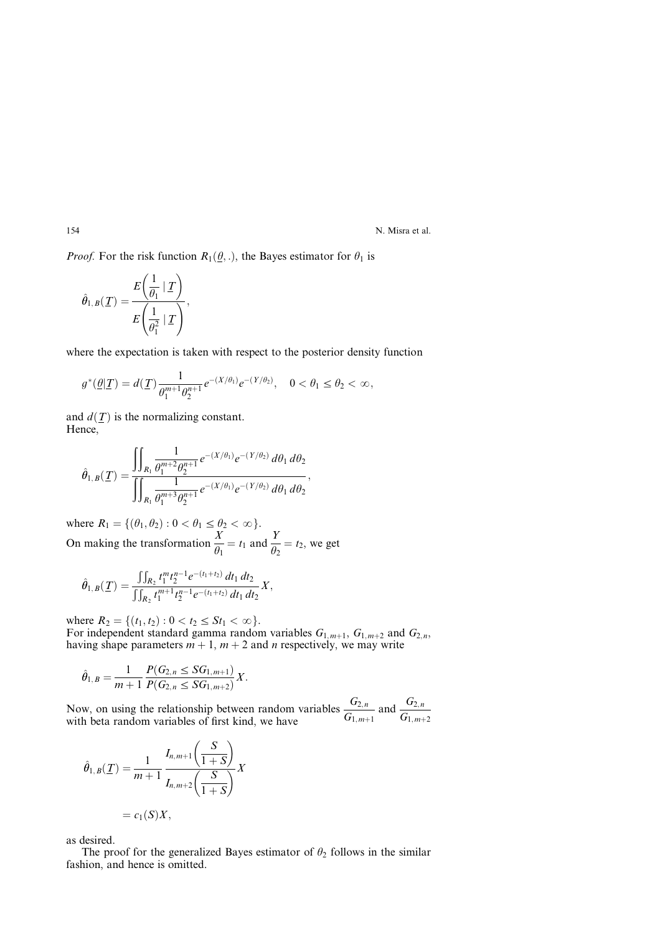*Proof.* For the risk function  $R_1(\theta, \cdot)$ , the Bayes estimator for  $\theta_1$  is

$$
\hat{\theta}_{1,B}(\underline{T}) = \frac{E\left(\frac{1}{\theta_1} | \underline{T}\right)}{E\left(\frac{1}{\theta_1^2} | \underline{T}\right)},
$$

where the expectation is taken with respect to the posterior density function

$$
g^*(\underline{\theta}|T) = d(T) \frac{1}{\theta_1^{m+1} \theta_2^{n+1}} e^{-(X/\theta_1)} e^{-(Y/\theta_2)}, \quad 0 < \theta_1 \le \theta_2 < \infty,
$$

and  $d(\mathcal{T})$  is the normalizing constant. Hence,

$$
\hat{\theta}_{1,B}(\underline{T})=\frac{\displaystyle\iint_{R_1}\frac{1}{\theta_1^{m+2}\theta_2^{n+1}}e^{-(X/\theta_1)}e^{-(Y/\theta_2)}\,d\theta_1\,d\theta_2}{\displaystyle\iint_{R_1}\frac{1}{\theta_1^{m+3}\theta_2^{n+1}}e^{-(X/\theta_1)}e^{-(Y/\theta_2)}\,d\theta_1\,d\theta_2},
$$

where  $R_1 = \{(\theta_1, \theta_2) : 0 < \theta_1 \le \theta_2 < \infty\}.$ On making the transformation  $\frac{X}{\theta_1} = t_1$  and  $\frac{Y}{\theta_2} = t_2$ , we get

$$
\hat{\theta}_{1,B}(\underline{T}) = \frac{\int\int_{R_2} t_1^m t_2^{n-1} e^{-(t_1+t_2)} dt_1 dt_2}{\int\int_{R_2} t_1^{m+1} t_2^{n-1} e^{-(t_1+t_2)} dt_1 dt_2} X,
$$

where  $R_2 = \{(t_1, t_2): 0 < t_2 \leq St_1 < \infty\}.$ For independent standard gamma random variables  $G_{1,m+1}$ ,  $G_{1,m+2}$  and  $G_{2,n}$ , having shape parameters  $m + 1$ ,  $m + 2$  and n respectively, we may write

$$
\hat{\theta}_{1,B} = \frac{1}{m+1} \frac{P(G_{2,n} \le SG_{1,m+1})}{P(G_{2,n} \le SG_{1,m+2})} X.
$$

Now, on using the relationship between random variables  $\frac{G_{2,n}}{G_{1,m+1}}$  and  $\frac{G_{2,n}}{G_{1,m+1}}$ with beta random variables of first kind, we have  $G_{1,m+1}$   $G_{1,m+2}$ 

$$
\hat{\theta}_{1,B}(T) = \frac{1}{m+1} \frac{I_{n,m+1}\left(\frac{S}{1+S}\right)}{I_{n,m+2}\left(\frac{S}{1+S}\right)} X
$$

$$
= c_1(S)X,
$$

as desired.

The proof for the generalized Bayes estimator of  $\theta_2$  follows in the similar fashion, and hence is omitted.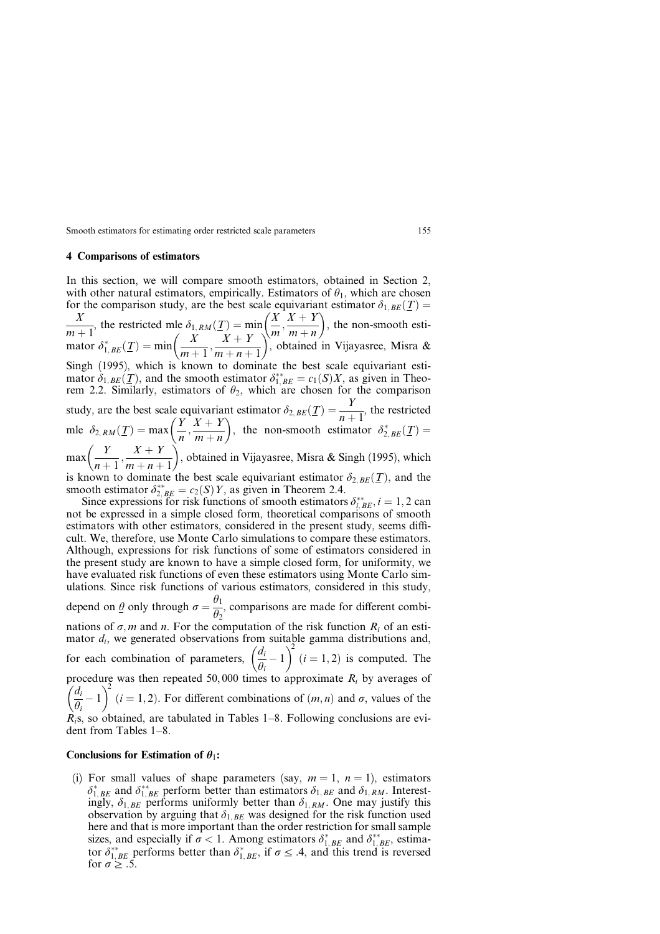### 4 Comparisons of estimators

In this section, we will compare smooth estimators, obtained in Section 2, with other natural estimators, empirically. Estimators of  $\theta_1$ , which are chosen for the comparison study, are the best scale equivariant estimator  $\delta_{1,BE}(\underline{T}) =$ X  $\frac{X}{m+1}$ , the restricted mle  $\delta_{1,RM}(\underline{T}) = \min_{\substack{Y \subseteq X \\ Y + Y}} \left( \frac{X}{m}, \frac{X + Y}{m+n} \right)$  $m + n$  $(Y, Y + Y)$ , the non-smooth estimator  $\delta_{1, BE}^*(\underline{T}) = \min\left(\frac{X}{m+1}, \frac{X+Y}{m+n+1}\right)$  $\left\langle \begin{array}{cc} V & V & V \end{array} \right\rangle$ , obtained in Vijayasree, Misra & Singh (1995), which is known to dominate the best scale equivariant estimator  $\delta_{1,BE}(\underline{T})$ , and the smooth estimator  $\delta_{1,BE}^{**} = c_1(S)X$ , as given in Theorem 2.2. Similarly, estimators of  $\theta_2$ , which are chosen for the comparison study, are the best scale equivariant estimator  $\delta_{2,BE}(\underline{T}) = \frac{Y}{n+1}$ , the restricted mle  $\delta_{2,RM}(\underline{T}) = \max\left(\frac{Y}{n}, \frac{X+Y}{m+n}\right)$  $m + n$  $\overline{Y}$   $\overline{Y}$   $\overline{Y}$   $\overline{Y}$   $\overline{Y}$ , the non-smooth estimator  $\delta_{2, BE}^*(\underline{T}) =$  $max\left(\frac{Y}{y}\right)$  $\frac{Y}{n+1}, \frac{X+Y}{m+n+1}$  $(Y \ Y \perp Y)$ , obtained in Vijayasree, Misra & Singh (1995), which is known to dominate the best scale equivariant estimator  $\delta_{2,BE}(\underline{T})$ , and the smooth estimator  $\delta_{2, BE}^{**} = c_2(S)Y$ , as given in Theorem 2.4. Since expressions for risk functions of smooth estimators  $\delta_{i, BE}^{**}$ ,  $i = 1, 2$  can not be expressed in a simple closed form, theoretical comparisons of smooth estimators with other estimators, considered in the present study, seems difficult. We, therefore, use Monte Carlo simulations to compare these estimators. Although, expressions for risk functions of some of estimators considered in the present study are known to have a simple closed form, for uniformity, we have evaluated risk functions of even these estimators using Monte Carlo simulations. Since risk functions of various estimators, considered in this study, depend on  $\underline{\theta}$  only through  $\sigma = \frac{\theta_1}{\theta_2}$ , comparisons are made for different combi-

nations of  $\sigma$ , *m* and *n*. For the computation of the risk function  $R_i$  of an estimator  $d_i$ , we generated observations from suitable gamma distributions and, for each combination of parameters,  $\left(\frac{d_i}{\theta_i} - 1\right)$  $\frac{1}{4}$   $\frac{34}{2}$  $(i = 1, 2)$  is computed. The procedure was then repeated 50,000 times to approximate  $R_i$  by averages of  $d_i$  $\frac{a_i}{\theta_i} - 1$  $\sqrt{2}$  $(i = 1, 2)$ . For different combinations of  $(m, n)$  and  $\sigma$ , values of the  $R_i$ s, so obtained, are tabulated in Tables 1–8. Following conclusions are evident from Tables  $1-8$ .

#### Conclusions for Estimation of  $\theta_1$ :

(i) For small values of shape parameters (say,  $m = 1$ ,  $n = 1$ ), estimators  $\delta_{1,BE}^*$  and  $\delta_{1,BE}^{**}$  perform better than estimators  $\delta_{1,BE}$  and  $\delta_{1,RM}$ . Interestingly,  $\delta_{1,BE}$  performs uniformly better than  $\delta_{1,RM}$ . One may justify this observation by arguing that  $\delta_{1,BE}$  was designed for the risk function used here and that is more important than the order restriction for small sample sizes, and especially if  $\sigma < 1$ . Among estimators  $\delta_{1, BE}^*$  and  $\delta_{1, BE}^{**}$ , estimator  $\delta_{1,BE}^{**}$  performs better than  $\delta_{1,BE}^{*}$ , if  $\sigma \leq .4$ , and this trend is reversed for  $\sigma \geq .5$ .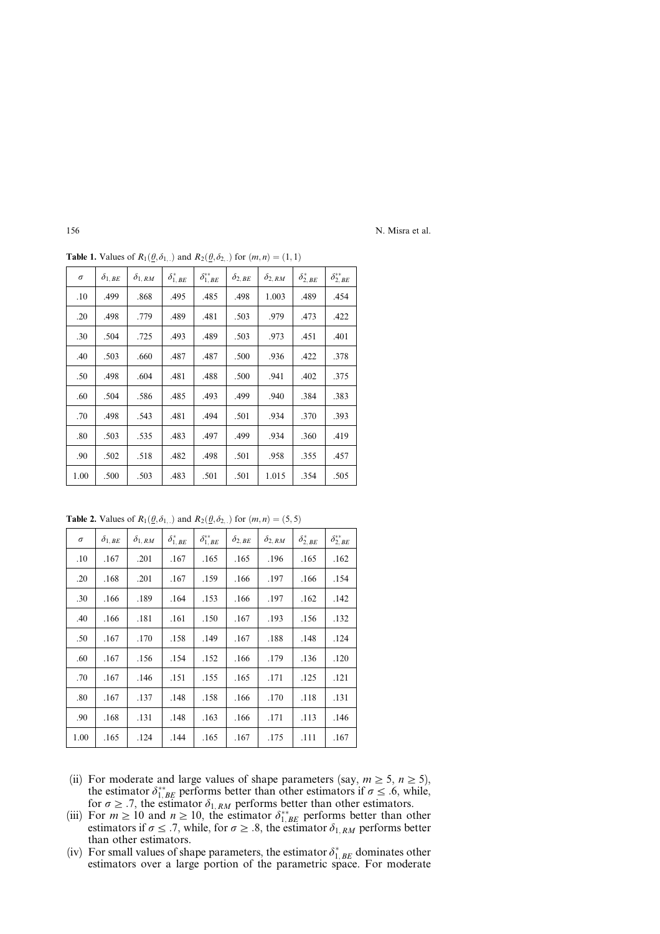| $\sigma$ | $\delta_{1,BE}$ | $\delta_{1,RM}$ | $\delta_{1, BE}^*$ | $\delta_{1,\,BE}^{**}$ | $\delta_{2, BE}$ | $\delta_{2,RM}$ | $\delta_{2, BE}^*$ | $\delta^{**}_{2, BE}$ |
|----------|-----------------|-----------------|--------------------|------------------------|------------------|-----------------|--------------------|-----------------------|
| .10      | .499            | .868            | .495               | .485                   | .498             | 1.003           | .489               | .454                  |
| .20      | .498            | .779            | .489               | .481                   | .503             | .979            | .473               | .422                  |
| .30      | .504            | .725            | .493               | .489                   | .503             | .973            | .451               | .401                  |
| .40      | .503            | .660            | .487               | .487                   | .500             | .936            | .422               | .378                  |
| .50      | .498            | .604            | .481               | .488                   | .500             | .941            | .402               | .375                  |
| .60      | .504            | .586            | .485               | .493                   | .499             | .940            | .384               | .383                  |
| .70      | .498            | .543            | .481               | .494                   | .501             | .934            | .370               | .393                  |
| .80      | .503            | .535            | .483               | .497                   | .499             | .934            | .360               | .419                  |
| .90      | .502            | .518            | .482               | .498                   | .501             | .958            | .355               | .457                  |
| 1.00     | .500            | .503            | .483               | .501                   | .501             | 1.015           | .354               | .505                  |

**Table 1.** Values of  $R_1(\theta, \delta_1)$  and  $R_2(\theta, \delta_2)$  for  $(m, n) = (1, 1)$ 

**Table 2.** Values of  $R_1(\underline{\theta}, \delta_1)$  and  $R_2(\underline{\theta}, \delta_2)$  for  $(m, n) = (5, 5)$ 

| $\sigma$ | $\delta_{1, \textit{BE}}$ | $\delta_{1,RM}$ | $\delta_{1, BE}^*$ | $\delta_{1,\,BE}^{**}$ | $\delta_{2, BE}$ | $\delta_{2,RM}$ | $\delta_{2, BE}^*$ | $\delta^{**}_{2, BE}$ |
|----------|---------------------------|-----------------|--------------------|------------------------|------------------|-----------------|--------------------|-----------------------|
| .10      | .167                      | .201            | .167               | .165                   | .165             | .196            | .165               | .162                  |
| .20      | .168                      | .201            | .167               | .159                   | .166             | .197            | .166               | .154                  |
| .30      | .166                      | .189            | .164               | .153                   | .166             | .197            | .162               | .142                  |
| .40      | .166                      | .181            | .161               | .150                   | .167             | .193            | .156               | .132                  |
| .50      | .167                      | .170            | .158               | .149                   | .167             | .188            | .148               | .124                  |
| .60      | .167                      | .156            | .154               | .152                   | .166             | .179            | .136               | .120                  |
| .70      | .167                      | .146            | .151               | .155                   | .165             | .171            | .125               | .121                  |
| .80      | .167                      | .137            | .148               | .158                   | .166             | .170            | .118               | .131                  |
| .90      | .168                      | .131            | .148               | .163                   | .166             | .171            | .113               | .146                  |
| 1.00     | .165                      | .124            | .144               | .165                   | .167             | .175            | .111               | .167                  |

- (ii) For moderate and large values of shape parameters (say,  $m \ge 5$ ,  $n \ge 5$ ), the estimator  $\delta_{1,BE}^{**}$  performs better than other estimators if  $\sigma \leq .6$ , while, for  $\sigma \geq 0.7$ , the estimator  $\delta_{1, RM}$  performs better than other estimators.
- (iii) For  $m \ge 10$  and  $n \ge 10$ , the estimator  $\delta_{1,BE}^{**}$  performs better than other estimators if  $\sigma \leq .7$ , while, for  $\sigma \geq .8$ , the estimator  $\delta_{1, RM}$  performs better than other estimators.
- (iv) For small values of shape parameters, the estimator  $\delta_{1, BE}^*$  dominates other estimators over a large portion of the parametric space. For moderate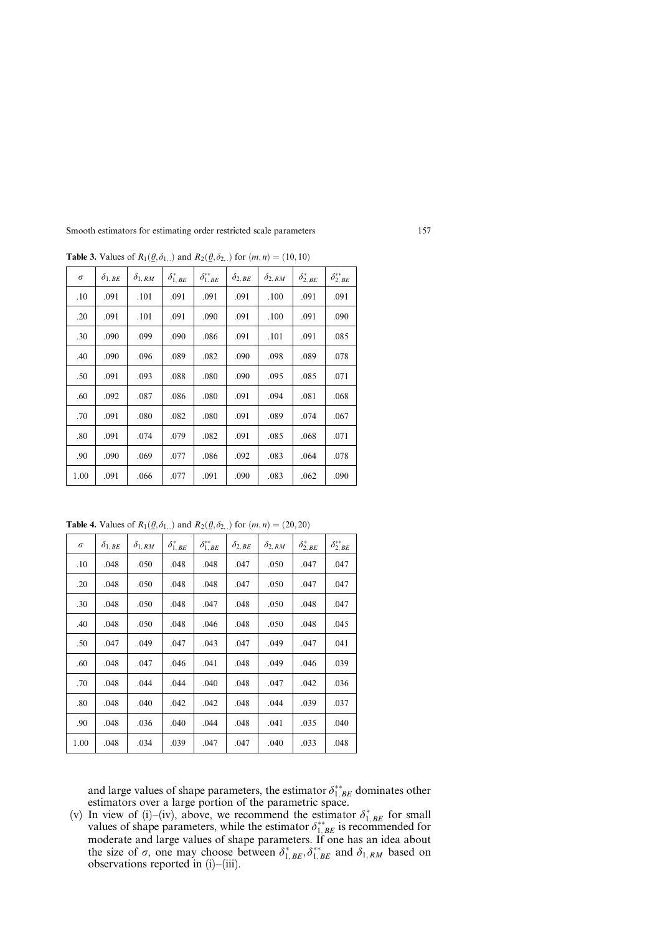| $\sigma$ | $\delta_{1, \textit{BE}}$ | $\delta_{1,RM}$ | $\delta_{1, BE}^*$ | $\delta_{1,\,BE}^{**}$ | $\delta_{2, \textit{BE}}$ | $\delta_{2,RM}$ | $\delta_{2, BE}^*$ | $\delta^{**}_{2, \, BE}$ |
|----------|---------------------------|-----------------|--------------------|------------------------|---------------------------|-----------------|--------------------|--------------------------|
| .10      | .091                      | .101            | .091               | .091                   | .091                      | .100            | .091               | .091                     |
| .20      | .091                      | .101            | .091               | .090                   | .091                      | .100            | .091               | .090                     |
| .30      | .090                      | .099            | .090               | .086                   | .091                      | .101            | .091               | .085                     |
| .40      | .090                      | .096            | .089               | .082                   | .090                      | .098            | .089               | .078                     |
| .50      | .091                      | .093            | .088               | .080                   | .090                      | .095            | .085               | .071                     |
| .60      | .092                      | .087            | .086               | .080                   | .091                      | .094            | .081               | .068                     |
| .70      | .091                      | .080            | .082               | .080                   | .091                      | .089            | .074               | .067                     |
| .80      | .091                      | .074            | .079               | .082                   | .091                      | .085            | .068               | .071                     |
| .90      | .090                      | .069            | .077               | .086                   | .092                      | .083            | .064               | .078                     |
| 1.00     | .091                      | .066            | .077               | .091                   | .090                      | .083            | .062               | .090                     |

**Table 3.** Values of  $R_1(\underline{\theta}, \delta_{1, \cdot} )$  and  $R_2(\underline{\theta}, \delta_{2, \cdot} )$  for  $(m, n) = (10, 10)$ 

**Table 4.** Values of  $R_1(\theta, \delta_{1, \cdot})$  and  $R_2(\theta, \delta_{2, \cdot})$  for  $(m, n) = (20, 20)$ 

| $\sigma$ | $\delta_{1,BE}$ | $\delta_{1,RM}$ | $\delta_{1, BE}^*$ | $\delta_{1,\,BE}^{**}$ | $\delta_{2, BE}$ | $\delta_{2,RM}$ | $\delta_{2, BE}^*$ | $\delta^{**}_{2, \, BE}$ |
|----------|-----------------|-----------------|--------------------|------------------------|------------------|-----------------|--------------------|--------------------------|
| .10      | .048            | .050            | .048               | .048                   | .047             | .050            | .047               | .047                     |
| .20      | .048            | .050            | .048               | .048                   | .047             | .050            | .047               | .047                     |
| .30      | .048            | .050            | .048               | .047                   | .048             | .050            | .048               | .047                     |
| .40      | .048            | .050            | .048               | .046                   | .048             | .050            | .048               | .045                     |
| .50      | .047            | .049            | .047               | .043                   | .047             | .049            | .047               | .041                     |
| .60      | .048            | .047            | .046               | .041                   | .048             | .049            | .046               | .039                     |
| .70      | .048            | .044            | .044               | .040                   | .048             | .047            | .042               | .036                     |
| .80      | .048            | .040            | .042               | .042                   | .048             | .044            | .039               | .037                     |
| .90      | .048            | .036            | .040               | .044                   | .048             | .041            | .035               | .040                     |
| 1.00     | .048            | .034            | .039               | .047                   | .047             | .040            | .033               | .048                     |

and large values of shape parameters, the estimator  $\delta_{1, BE}^{**}$  dominates other estimators over a large portion of the parametric space.

(v) In view of (i)–(iv), above, we recommend the estimator  $\delta_{1,BE}^*$  for small values of shape parameters, while the estimator  $\delta_{1, BE}^{**}$  is recommended for moderate and large values of shape parameters. If one has an idea about the size of  $\sigma$ , one may choose between  $\delta_{1, BE}^*$ ,  $\delta_{1, BE}^{**}$  and  $\delta_{1, RM}$  based on observations reported in (i)–(iii).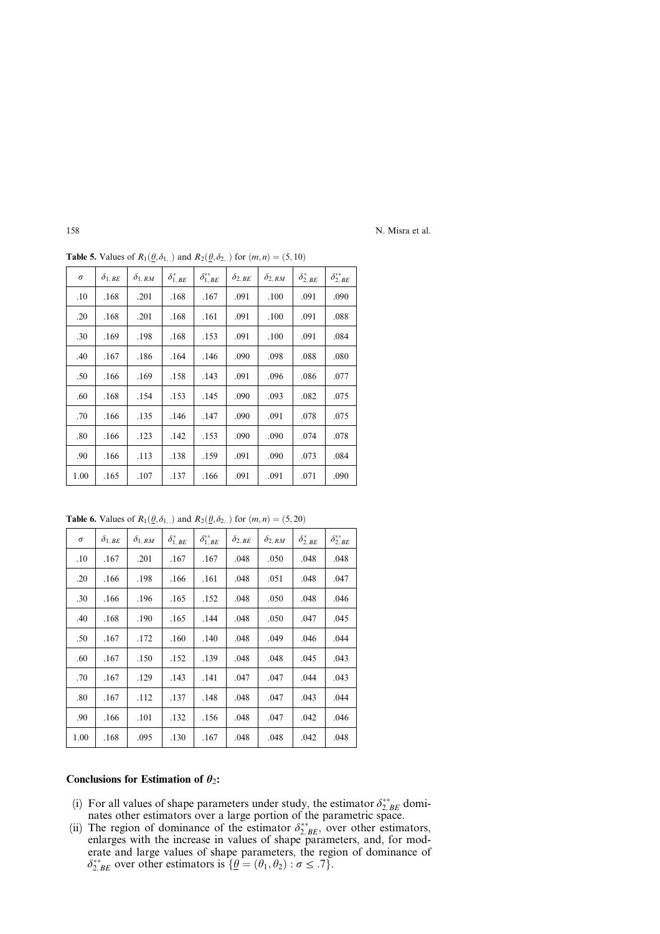| $\sigma$ | $\delta_{1, \textit{BE}}$ | $\delta_{1,RM}$ | $\delta_{1, BE}^*$ | $\delta_{1,\,BE}^{**}$ | $\delta_{2, BE}$ | $\delta_{2,RM}$ | $\delta_{2, BE}^*$ | $\delta^{**}_{2, BE}$ |
|----------|---------------------------|-----------------|--------------------|------------------------|------------------|-----------------|--------------------|-----------------------|
| .10      | .168                      | .201            | .168               | .167                   | .091             | .100            | .091               | .090                  |
| .20      | .168                      | .201            | .168               | .161                   | .091             | .100            | .091               | .088                  |
| .30      | .169                      | .198            | .168               | .153                   | .091             | .100            | .091               | .084                  |
| .40      | .167                      | .186            | .164               | .146                   | .090             | .098            | .088               | .080                  |
| .50      | .166                      | .169            | .158               | .143                   | .091             | .096            | .086               | .077                  |
| .60      | .168                      | .154            | .153               | .145                   | .090             | .093            | .082               | .075                  |
| .70      | .166                      | .135            | .146               | .147                   | .090             | .091            | .078               | .075                  |
| .80      | .166                      | .123            | .142               | .153                   | .090             | .090            | .074               | .078                  |
| .90      | .166                      | .113            | .138               | .159                   | .091             | .090            | .073               | .084                  |
| 1.00     | .165                      | .107            | .137               | .166                   | .091             | .091            | .071               | .090                  |

**Table 5.** Values of  $R_1(\underline{\theta}, \delta_1)$  and  $R_2(\underline{\theta}, \delta_2)$  for  $(m, n) = (5, 10)$ 

**Table 6.** Values of  $R_1(\underline{\theta}, \delta_1)$ ; and  $R_2(\underline{\theta}, \delta_2)$ ; for  $(m, n) = (5, 20)$ 

| $\sigma$ | $\delta_{1, \textit{BE}}$ | $\delta_{1,RM}$ | $\delta_{1, BE}^*$ | $\delta_{1,\,BE}^{**}$ | $\delta_{2, BE}$ | $\delta_{2,RM}$ | $\delta_{2, BE}^*$ | $\delta^{**}_{2, BE}$ |
|----------|---------------------------|-----------------|--------------------|------------------------|------------------|-----------------|--------------------|-----------------------|
| .10      | .167                      | .201            | .167               | .167                   | .048             | .050            | .048               | .048                  |
| .20      | .166                      | .198            | .166               | .161                   | .048             | .051            | .048               | .047                  |
| .30      | .166                      | .196            | .165               | .152                   | .048             | .050            | .048               | .046                  |
| .40      | .168                      | .190            | .165               | .144                   | .048             | .050            | .047               | .045                  |
| .50      | .167                      | .172            | .160               | .140                   | .048             | .049            | .046               | .044                  |
| .60      | .167                      | .150            | .152               | .139                   | .048             | .048            | .045               | .043                  |
| .70      | .167                      | .129            | .143               | .141                   | .047             | .047            | .044               | .043                  |
| .80      | .167                      | .112            | .137               | .148                   | .048             | .047            | .043               | .044                  |
| .90      | .166                      | .101            | .132               | .156                   | .048             | .047            | .042               | .046                  |
| 1.00     | .168                      | .095            | .130               | .167                   | .048             | .048            | .042               | .048                  |

## Conclusions for Estimation of  $\theta_2$ :

- (i) For all values of shape parameters under study, the estimator  $\delta_{2,BE}^{**}$  dominates other estimators over a large portion of the parametric space.
- (ii) The region of dominance of the estimator  $\delta_{2,BE}^{**}$ , over other estimators, enlarges with the increase in values of shape parameters, and, for moderate and large values of shape parameters, the region of dominance of  $\delta_{2, BE}^{**}$  over other estimators is  $\{ \underline{\theta} = (\theta_1, \theta_2) : \sigma \leq .7 \}.$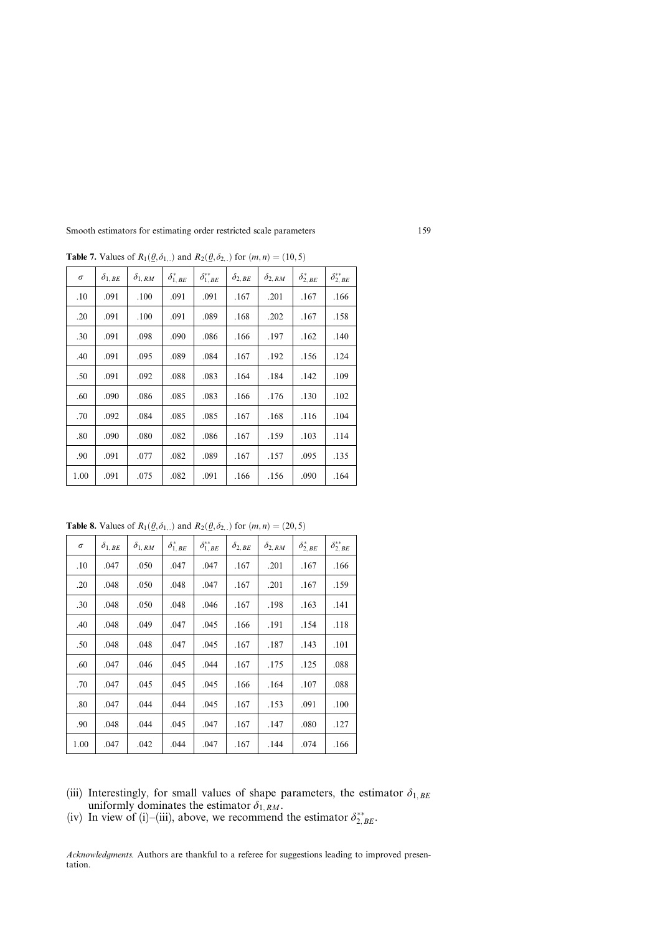| $\sigma$ | $\delta_{1, \textit{BE}}$ | $\delta_{1,RM}$ | $\delta_{1, BE}^*$ | $\delta_{1,\,BE}^{**}$ | $\delta_{2, \textit{BE}}$ | $\delta_{2,RM}$ | $\delta_{2, BE}^*$ | $\delta^{**}_{2, \, BE}$ |
|----------|---------------------------|-----------------|--------------------|------------------------|---------------------------|-----------------|--------------------|--------------------------|
| .10      | .091                      | .100            | .091               | .091                   | .167                      | .201            | .167               | .166                     |
| .20      | .091                      | .100            | .091               | .089                   | .168                      | .202            | .167               | .158                     |
| .30      | .091                      | .098            | .090               | .086                   | .166                      | .197            | .162               | .140                     |
| .40      | .091                      | .095            | .089               | .084                   | .167                      | .192            | .156               | .124                     |
| .50      | .091                      | .092            | .088               | .083                   | .164                      | .184            | .142               | .109                     |
| .60      | .090                      | .086            | .085               | .083                   | .166                      | .176            | .130               | .102                     |
| .70      | .092                      | .084            | .085               | .085                   | .167                      | .168            | .116               | .104                     |
| .80      | .090                      | .080            | .082               | .086                   | .167                      | .159            | .103               | .114                     |
| .90      | .091                      | .077            | .082               | .089                   | .167                      | .157            | .095               | .135                     |
| 1.00     | .091                      | .075            | .082               | .091                   | .166                      | .156            | .090               | .164                     |

**Table 7.** Values of  $R_1(\underline{\theta}, \delta_{1, \cdot})$  and  $R_2(\underline{\theta}, \delta_{2, \cdot})$  for  $(m, n) = (10, 5)$ 

**Table 8.** Values of  $R_1(\underline{\theta}, \delta_1)$ , and  $R_2(\underline{\theta}, \delta_2)$  for  $(m, n) = (20, 5)$ 

| $\sigma$ | $\delta_{1, \textit{BE}}$ | $\delta_{1,RM}$ | $\delta_{1,\,BE}^*$ | $\delta_{1,\,BE}^{**}$ | $\delta_{2, \textit{BE}}$ | $\delta_{2,RM}$ | $\delta^*_{2, BE}$ | $\delta^{**}_{2, BE}$ |
|----------|---------------------------|-----------------|---------------------|------------------------|---------------------------|-----------------|--------------------|-----------------------|
| .10      | .047                      | .050            | .047                | .047                   | .167                      | .201            | .167               | .166                  |
| .20      | .048                      | .050            | .048                | .047                   | .167                      | .201            | .167               | .159                  |
| .30      | .048                      | .050            | .048                | .046                   | .167                      | .198            | .163               | .141                  |
| .40      | .048                      | .049            | .047                | .045                   | .166                      | .191            | .154               | .118                  |
| .50      | .048                      | .048            | .047                | .045                   | .167                      | .187            | .143               | .101                  |
| .60      | .047                      | .046            | .045                | .044                   | .167                      | .175            | .125               | .088                  |
| .70      | .047                      | .045            | .045                | .045                   | .166                      | .164            | .107               | .088                  |
| .80      | .047                      | .044            | .044                | .045                   | .167                      | .153            | .091               | .100                  |
| .90      | .048                      | .044            | .045                | .047                   | .167                      | .147            | .080               | .127                  |
| 1.00     | .047                      | .042            | .044                | .047                   | .167                      | .144            | .074               | .166                  |

- (iii) Interestingly, for small values of shape parameters, the estimator  $\delta_{1,BE}$ uniformly dominates the estimator  $\delta_{1, RM}$ .
- (iv) In view of (i)–(iii), above, we recommend the estimator  $\delta_{2, BE}^{**}$ .

Acknowledgments. Authors are thankful to a referee for suggestions leading to improved presentation.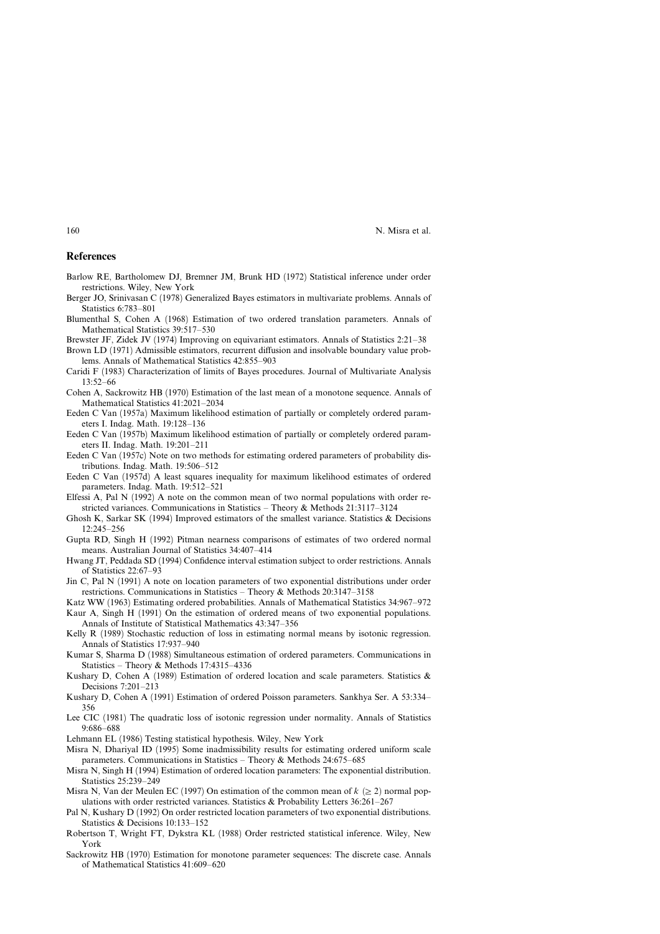#### **References**

- Barlow RE, Bartholomew DJ, Bremner JM, Brunk HD (1972) Statistical inference under order restrictions. Wiley, New York
- Berger JO, Srinivasan C (1978) Generalized Bayes estimators in multivariate problems. Annals of Statistics 6:783–801
- Blumenthal S, Cohen A (1968) Estimation of two ordered translation parameters. Annals of Mathematical Statistics 39:517–530
- Brewster JF, Zidek JV (1974) Improving on equivariant estimators. Annals of Statistics 2:21–38
- Brown LD (1971) Admissible estimators, recurrent diffusion and insolvable boundary value problems. Annals of Mathematical Statistics 42:855–903
- Caridi F (1983) Characterization of limits of Bayes procedures. Journal of Multivariate Analysis 13:52–66
- Cohen A, Sackrowitz HB (1970) Estimation of the last mean of a monotone sequence. Annals of Mathematical Statistics 41:2021–2034
- Eeden C Van (1957a) Maximum likelihood estimation of partially or completely ordered parametersI. Indag. Math. 19:128–136
- Eeden C Van (1957b) Maximum likelihood estimation of partially or completely ordered parametersII. Indag. Math. 19:201–211
- Eeden C Van (1957c) Note on two methods for estimating ordered parameters of probability distributions. Indag. Math. 19:506–512
- Eeden C Van (1957d) A least squares inequality for maximum likelihood estimates of ordered parameters. Indag. Math. 19:512–521
- Elfessi A, Pal N (1992) A note on the common mean of two normal populations with order restricted variances. Communications in Statistics – Theory & Methods 21:3117–3124
- Ghosh K, Sarkar SK (1994) Improved estimators of the smallest variance. Statistics & Decisions 12:245–256
- Gupta RD, Singh H (1992) Pitman nearness comparisons of estimates of two ordered normal means. Australian Journal of Statistics 34:407–414
- Hwang JT, Peddada SD (1994) Confidence interval estimation subject to order restrictions. Annals of Statistics 22:67–93
- Jin C, Pal N (1991) A note on location parameters of two exponential distributions under order restrictions. Communications in Statistics – Theory & Methods 20:3147–3158
- Katz WW (1963) Estimating ordered probabilities. Annals of Mathematical Statistics 34:967–972
- Kaur A, Singh H (1991) On the estimation of ordered means of two exponential populations. Annals of Institute of Statistical Mathematics 43:347–356
- Kelly R (1989) Stochastic reduction of loss in estimating normal means by isotonic regression. Annals of Statistics 17:937-940
- Kumar S, Sharma D (1988) Simultaneous estimation of ordered parameters. Communications in Statistics – Theory & Methods 17:4315–4336
- Kushary D, Cohen A (1989) Estimation of ordered location and scale parameters. Statistics  $\&$ Decisions 7:201–213
- Kushary D, Cohen A (1991) Estimation of ordered Poisson parameters. Sankhya Ser. A 53:334– 356
- Lee CIC (1981) The quadratic loss of isotonic regression under normality. Annals of Statistics 9:686–688
- Lehmann EL (1986) Testing statistical hypothesis. Wiley, New York
- Misra N, Dhariyal ID (1995) Some inadmissibility results for estimating ordered uniform scale parameters. Communications in Statistics – Theory & Methods 24:675–685
- Misra N, Singh H (1994) Estimation of ordered location parameters: The exponential distribution. Statistics 25:239–249
- Misra N, Van der Meulen EC (1997) On estimation of the common mean of  $k \geq 2$  normal populations with order restricted variances. Statistics & Probability Letters 36:261–267
- Pal N, Kushary D (1992) On order restricted location parameters of two exponential distributions. Statistics & Decisions 10:133–152
- Robertson T, Wright FT, Dykstra KL (1988) Order restricted statistical inference. Wiley, New York
- Sackrowitz HB (1970) Estimation for monotone parameter sequences: The discrete case. Annals of Mathematical Statistics 41:609–620